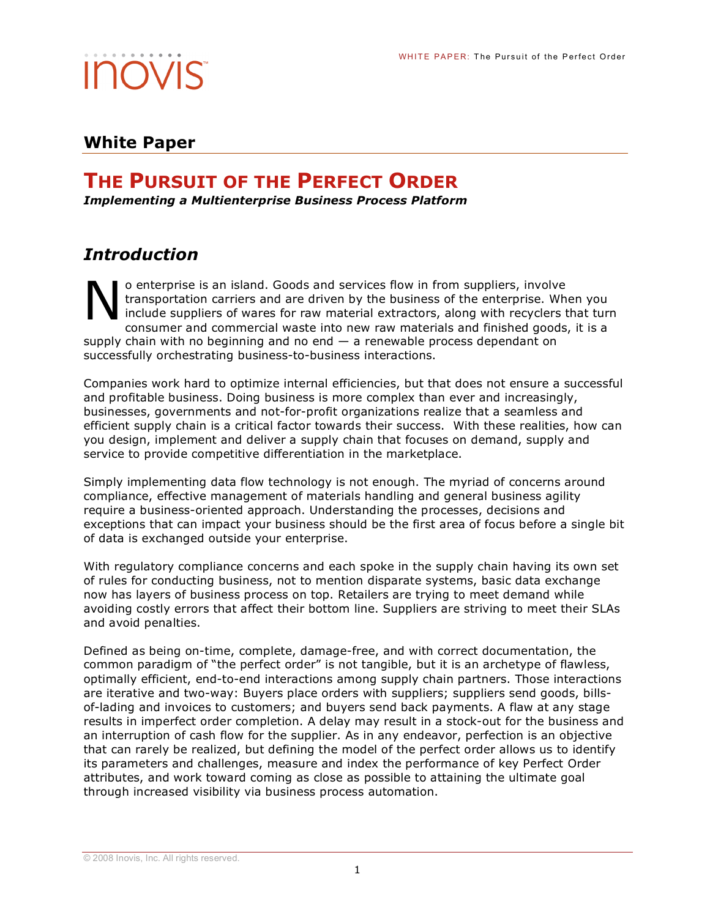### **White Paper**

## **THE PURSUIT OF THE PERFECT ORDER**

*Implementing a Multienterprise Business Process Platform*

### *Introduction*

o enterprise is an island. Goods and services flow in from suppliers, involve transportation carriers and are driven by the business of the enterprise. When you include suppliers of wares for raw material extractors, along with recyclers that turn consumer and commercial waste into new raw materials and finished goods, it is a supply chain with no beginning and no end  $-$  a renewable process dependant on successfully orchestrating business-to-business interactions. N

Companies work hard to optimize internal efficiencies, but that does not ensure a successful and profitable business. Doing business is more complex than ever and increasingly, businesses, governments and not-for-profit organizations realize that a seamless and efficient supply chain is a critical factor towards their success. With these realities, how can you design, implement and deliver a supply chain that focuses on demand, supply and service to provide competitive differentiation in the marketplace.

Simply implementing data flow technology is not enough. The myriad of concerns around compliance, effective management of materials handling and general business agility require a business-oriented approach. Understanding the processes, decisions and exceptions that can impact your business should be the first area of focus before a single bit of data is exchanged outside your enterprise.

With regulatory compliance concerns and each spoke in the supply chain having its own set of rules for conducting business, not to mention disparate systems, basic data exchange now has layers of business process on top. Retailers are trying to meet demand while avoiding costly errors that affect their bottom line. Suppliers are striving to meet their SLAs and avoid penalties.

Defined as being on-time, complete, damage-free, and with correct documentation, the common paradigm of "the perfect order" is not tangible, but it is an archetype of flawless, optimally efficient, end-to-end interactions among supply chain partners. Those interactions are iterative and two-way: Buyers place orders with suppliers; suppliers send goods, billsof-lading and invoices to customers; and buyers send back payments. A flaw at any stage results in imperfect order completion. A delay may result in a stock-out for the business and an interruption of cash flow for the supplier. As in any endeavor, perfection is an objective that can rarely be realized, but defining the model of the perfect order allows us to identify its parameters and challenges, measure and index the performance of key Perfect Order attributes, and work toward coming as close as possible to attaining the ultimate goal through increased visibility via business process automation.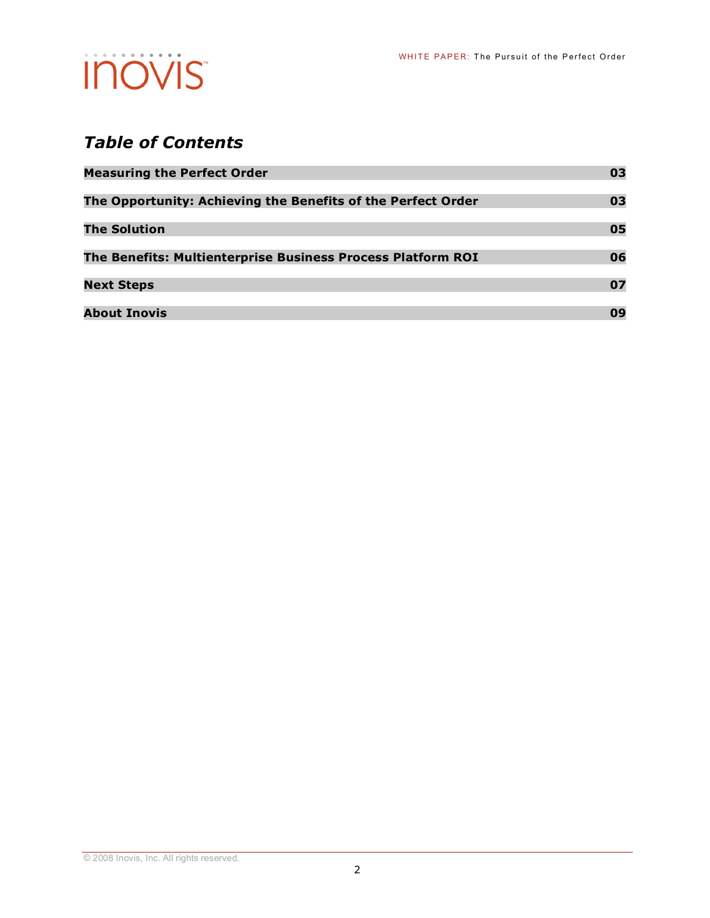## *Table of Contents*

| <b>Measuring the Perfect Order</b>                           | 03 |
|--------------------------------------------------------------|----|
| The Opportunity: Achieving the Benefits of the Perfect Order | 03 |
| <b>The Solution</b>                                          | 05 |
| The Benefits: Multienterprise Business Process Platform ROI  | 06 |
| <b>Next Steps</b>                                            | 07 |
| <b>About Inovis</b>                                          | 09 |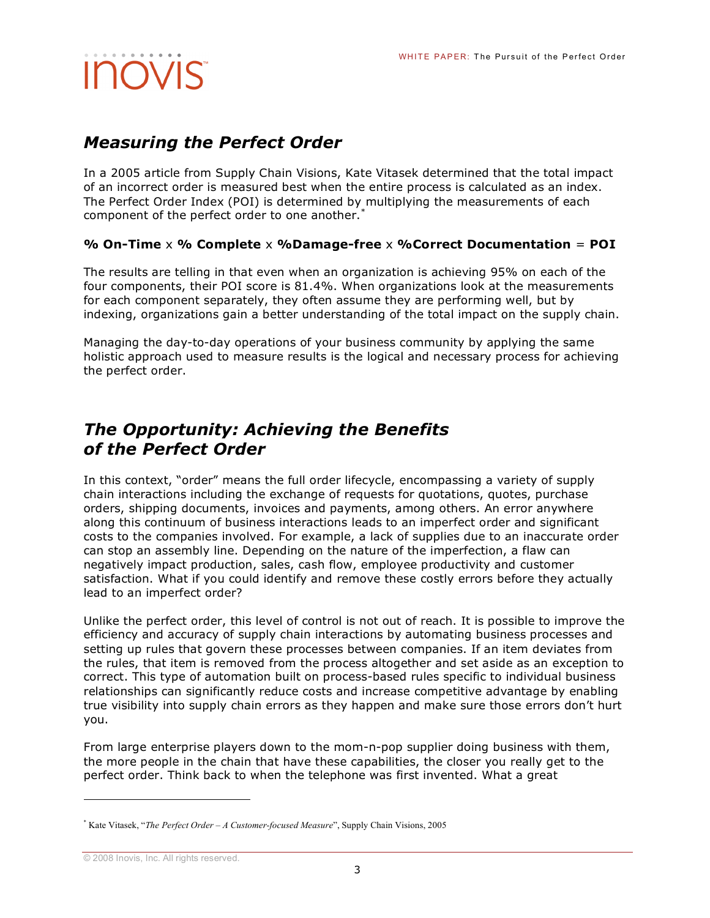### *Measuring the Perfect Order*

In a 2005 article from Supply Chain Visions, Kate Vitasek determined that the total impact of an incorrect order is measured best when the entire process is calculated as an index. The Perfect Order Index (POI) is determined by multiplying the measurements of each component of the perfect order to one another.<sup>\*</sup>

#### **% On-Time** x **% Complete** x **%Damage-free** x **%Correct Documentation** = **POI**

The results are telling in that even when an organization is achieving 95% on each of the four components, their POI score is 81.4%. When organizations look at the measurements for each component separately, they often assume they are performing well, but by indexing, organizations gain a better understanding of the total impact on the supply chain.

Managing the day-to-day operations of your business community by applying the same holistic approach used to measure results is the logical and necessary process for achieving the perfect order.

### *The Opportunity: Achieving the Benefits of the Perfect Order*

In this context, "order" means the full order lifecycle, encompassing a variety of supply chain interactions including the exchange of requests for quotations, quotes, purchase orders, shipping documents, invoices and payments, among others. An error anywhere along this continuum of business interactions leads to an imperfect order and significant costs to the companies involved. For example, a lack of supplies due to an inaccurate order can stop an assembly line. Depending on the nature of the imperfection, a flaw can negatively impact production, sales, cash flow, employee productivity and customer satisfaction. What if you could identify and remove these costly errors before they actually lead to an imperfect order?

Unlike the perfect order, this level of control is not out of reach. It is possible to improve the efficiency and accuracy of supply chain interactions by automating business processes and setting up rules that govern these processes between companies. If an item deviates from the rules, that item is removed from the process altogether and set aside as an exception to correct. This type of automation built on process-based rules specific to individual business relationships can significantly reduce costs and increase competitive advantage by enabling true visibility into supply chain errors as they happen and make sure those errors don't hurt you.

From large enterprise players down to the mom-n-pop supplier doing business with them, the more people in the chain that have these capabilities, the closer you really get to the perfect order. Think back to when the telephone was first invented. What a great

<sup>\*</sup> Kate Vitasek, "*The Perfect Order – A Customer-focused Measure*", Supply Chain Visions, 2005

<sup>©</sup> 2008 Inovis, Inc. All rights reserved.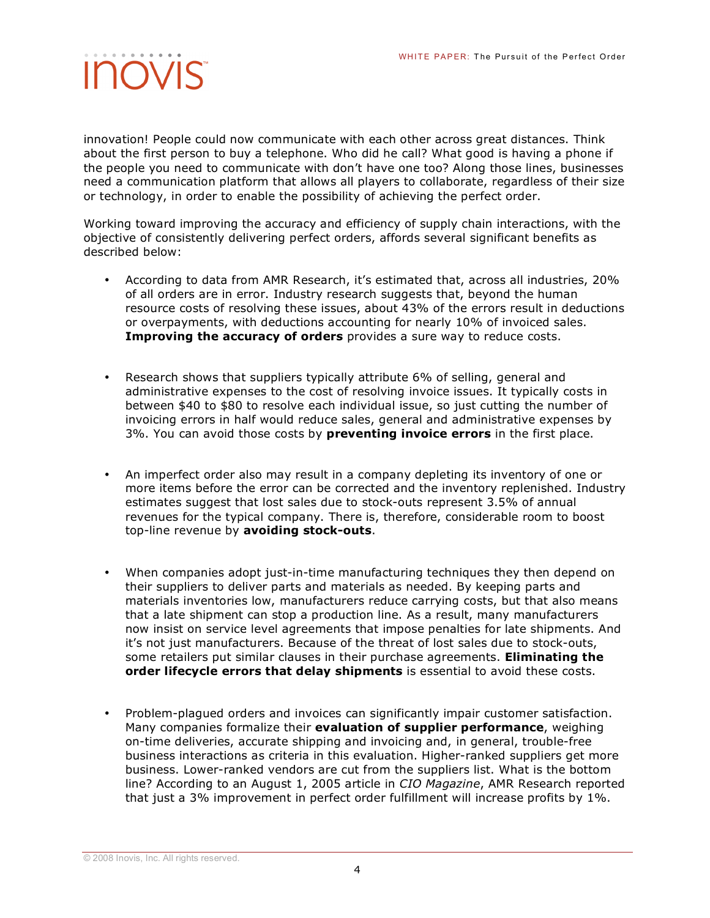innovation! People could now communicate with each other across great distances. Think about the first person to buy a telephone. Who did he call? What good is having a phone if the people you need to communicate with don't have one too? Along those lines, businesses need a communication platform that allows all players to collaborate, regardless of their size or technology, in order to enable the possibility of achieving the perfect order.

Working toward improving the accuracy and efficiency of supply chain interactions, with the objective of consistently delivering perfect orders, affords several significant benefits as described below:

- According to data from AMR Research, it's estimated that, across all industries, 20% of all orders are in error. Industry research suggests that, beyond the human resource costs of resolving these issues, about 43% of the errors result in deductions or overpayments, with deductions accounting for nearly 10% of invoiced sales. **Improving the accuracy of orders** provides a sure way to reduce costs.
- Research shows that suppliers typically attribute 6% of selling, general and administrative expenses to the cost of resolving invoice issues. It typically costs in between \$40 to \$80 to resolve each individual issue, so just cutting the number of invoicing errors in half would reduce sales, general and administrative expenses by 3%. You can avoid those costs by **preventing invoice errors** in the first place.
- An imperfect order also may result in a company depleting its inventory of one or more items before the error can be corrected and the inventory replenished. Industry estimates suggest that lost sales due to stock-outs represent 3.5% of annual revenues for the typical company. There is, therefore, considerable room to boost top-line revenue by **avoiding stock-outs**.
- When companies adopt just-in-time manufacturing techniques they then depend on their suppliers to deliver parts and materials as needed. By keeping parts and materials inventories low, manufacturers reduce carrying costs, but that also means that a late shipment can stop a production line. As a result, many manufacturers now insist on service level agreements that impose penalties for late shipments. And it's not just manufacturers. Because of the threat of lost sales due to stock-outs, some retailers put similar clauses in their purchase agreements. **Eliminating the order lifecycle errors that delay shipments** is essential to avoid these costs.
- Problem-plagued orders and invoices can significantly impair customer satisfaction. Many companies formalize their **evaluation of supplier performance**, weighing on-time deliveries, accurate shipping and invoicing and, in general, trouble-free business interactions as criteria in this evaluation. Higher-ranked suppliers get more business. Lower-ranked vendors are cut from the suppliers list. What is the bottom line? According to an August 1, 2005 article in *CIO Magazine*, AMR Research reported that just a 3% improvement in perfect order fulfillment will increase profits by 1%.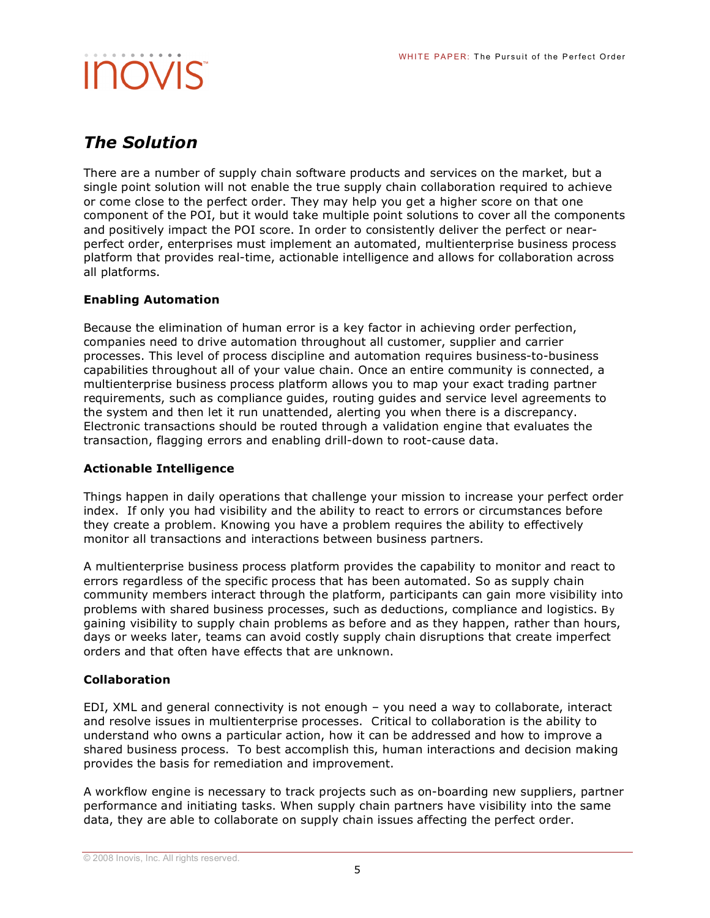### *The Solution*

There are a number of supply chain software products and services on the market, but a single point solution will not enable the true supply chain collaboration required to achieve or come close to the perfect order. They may help you get a higher score on that one component of the POI, but it would take multiple point solutions to cover all the components and positively impact the POI score. In order to consistently deliver the perfect or nearperfect order, enterprises must implement an automated, multienterprise business process platform that provides real-time, actionable intelligence and allows for collaboration across all platforms.

#### **Enabling Automation**

Because the elimination of human error is a key factor in achieving order perfection, companies need to drive automation throughout all customer, supplier and carrier processes. This level of process discipline and automation requires business-to-business capabilities throughout all of your value chain. Once an entire community is connected, a multienterprise business process platform allows you to map your exact trading partner requirements, such as compliance guides, routing guides and service level agreements to the system and then let it run unattended, alerting you when there is a discrepancy. Electronic transactions should be routed through a validation engine that evaluates the transaction, flagging errors and enabling drill-down to root-cause data.

#### **Actionable Intelligence**

Things happen in daily operations that challenge your mission to increase your perfect order index. If only you had visibility and the ability to react to errors or circumstances before they create a problem. Knowing you have a problem requires the ability to effectively monitor all transactions and interactions between business partners.

A multienterprise business process platform provides the capability to monitor and react to errors regardless of the specific process that has been automated. So as supply chain community members interact through the platform, participants can gain more visibility into problems with shared business processes, such as deductions, compliance and logistics. By gaining visibility to supply chain problems as before and as they happen, rather than hours, days or weeks later, teams can avoid costly supply chain disruptions that create imperfect orders and that often have effects that are unknown.

#### **Collaboration**

EDI, XML and general connectivity is not enough – you need a way to collaborate, interact and resolve issues in multienterprise processes. Critical to collaboration is the ability to understand who owns a particular action, how it can be addressed and how to improve a shared business process. To best accomplish this, human interactions and decision making provides the basis for remediation and improvement.

A workflow engine is necessary to track projects such as on-boarding new suppliers, partner performance and initiating tasks. When supply chain partners have visibility into the same data, they are able to collaborate on supply chain issues affecting the perfect order.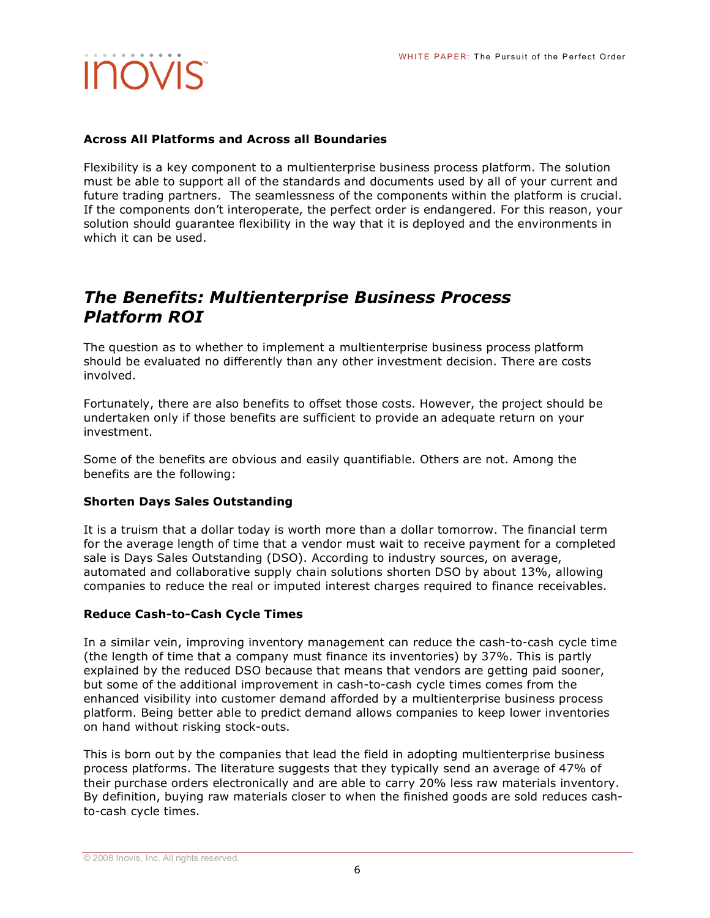#### **Across All Platforms and Across all Boundaries**

Flexibility is a key component to a multienterprise business process platform. The solution must be able to support all of the standards and documents used by all of your current and future trading partners. The seamlessness of the components within the platform is crucial. If the components don't interoperate, the perfect order is endangered. For this reason, your solution should guarantee flexibility in the way that it is deployed and the environments in which it can be used.

### *The Benefits: Multienterprise Business Process Platform ROI*

The question as to whether to implement a multienterprise business process platform should be evaluated no differently than any other investment decision. There are costs involved.

Fortunately, there are also benefits to offset those costs. However, the project should be undertaken only if those benefits are sufficient to provide an adequate return on your investment.

Some of the benefits are obvious and easily quantifiable. Others are not. Among the benefits are the following:

#### **Shorten Days Sales Outstanding**

It is a truism that a dollar today is worth more than a dollar tomorrow. The financial term for the average length of time that a vendor must wait to receive payment for a completed sale is Days Sales Outstanding (DSO). According to industry sources, on average, automated and collaborative supply chain solutions shorten DSO by about 13%, allowing companies to reduce the real or imputed interest charges required to finance receivables.

#### **Reduce Cash-to-Cash Cycle Times**

In a similar vein, improving inventory management can reduce the cash-to-cash cycle time (the length of time that a company must finance its inventories) by 37%. This is partly explained by the reduced DSO because that means that vendors are getting paid sooner, but some of the additional improvement in cash-to-cash cycle times comes from the enhanced visibility into customer demand afforded by a multienterprise business process platform. Being better able to predict demand allows companies to keep lower inventories on hand without risking stock-outs.

This is born out by the companies that lead the field in adopting multienterprise business process platforms. The literature suggests that they typically send an average of 47% of their purchase orders electronically and are able to carry 20% less raw materials inventory. By definition, buying raw materials closer to when the finished goods are sold reduces cashto-cash cycle times.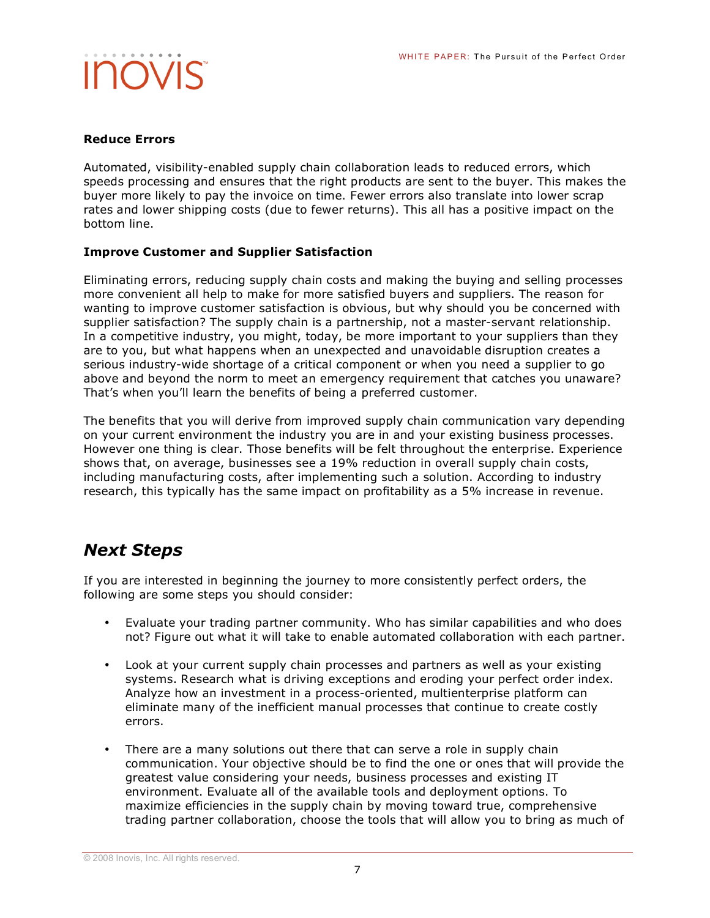#### **Reduce Errors**

Automated, visibility-enabled supply chain collaboration leads to reduced errors, which speeds processing and ensures that the right products are sent to the buyer. This makes the buyer more likely to pay the invoice on time. Fewer errors also translate into lower scrap rates and lower shipping costs (due to fewer returns). This all has a positive impact on the bottom line.

#### **Improve Customer and Supplier Satisfaction**

Eliminating errors, reducing supply chain costs and making the buying and selling processes more convenient all help to make for more satisfied buyers and suppliers. The reason for wanting to improve customer satisfaction is obvious, but why should you be concerned with supplier satisfaction? The supply chain is a partnership, not a master-servant relationship. In a competitive industry, you might, today, be more important to your suppliers than they are to you, but what happens when an unexpected and unavoidable disruption creates a serious industry-wide shortage of a critical component or when you need a supplier to go above and beyond the norm to meet an emergency requirement that catches you unaware? That's when you'll learn the benefits of being a preferred customer.

The benefits that you will derive from improved supply chain communication vary depending on your current environment the industry you are in and your existing business processes. However one thing is clear. Those benefits will be felt throughout the enterprise. Experience shows that, on average, businesses see a 19% reduction in overall supply chain costs, including manufacturing costs, after implementing such a solution. According to industry research, this typically has the same impact on profitability as a 5% increase in revenue.

### *Next Steps*

If you are interested in beginning the journey to more consistently perfect orders, the following are some steps you should consider:

- Evaluate your trading partner community. Who has similar capabilities and who does not? Figure out what it will take to enable automated collaboration with each partner.
- Look at your current supply chain processes and partners as well as your existing systems. Research what is driving exceptions and eroding your perfect order index. Analyze how an investment in a process-oriented, multienterprise platform can eliminate many of the inefficient manual processes that continue to create costly errors.
- There are a many solutions out there that can serve a role in supply chain communication. Your objective should be to find the one or ones that will provide the greatest value considering your needs, business processes and existing IT environment. Evaluate all of the available tools and deployment options. To maximize efficiencies in the supply chain by moving toward true, comprehensive trading partner collaboration, choose the tools that will allow you to bring as much of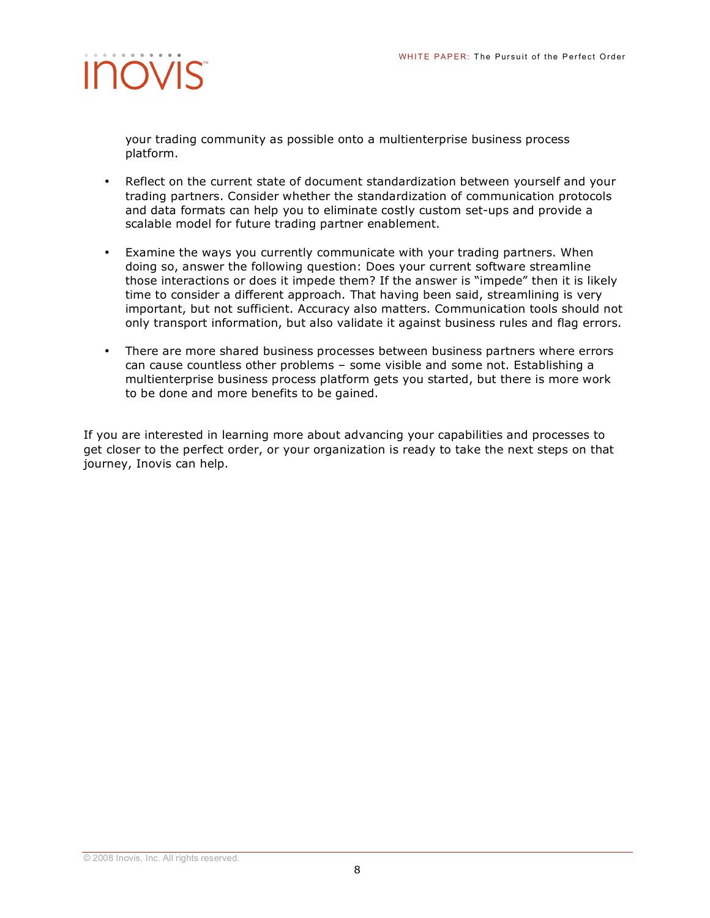

your trading community as possible onto a multienterprise business process platform.

- Reflect on the current state of document standardization between yourself and your trading partners. Consider whether the standardization of communication protocols and data formats can help you to eliminate costly custom set-ups and provide a scalable model for future trading partner enablement.
- Examine the ways you currently communicate with your trading partners. When doing so, answer the following question: Does your current software streamline those interactions or does it impede them? If the answer is "impede" then it is likely time to consider a different approach. That having been said, streamlining is very important, but not sufficient. Accuracy also matters. Communication tools should not only transport information, but also validate it against business rules and flag errors.
- There are more shared business processes between business partners where errors can cause countless other problems – some visible and some not. Establishing a multienterprise business process platform gets you started, but there is more work to be done and more benefits to be gained.

If you are interested in learning more about advancing your capabilities and processes to get closer to the perfect order, or your organization is ready to take the next steps on that journey, Inovis can help.